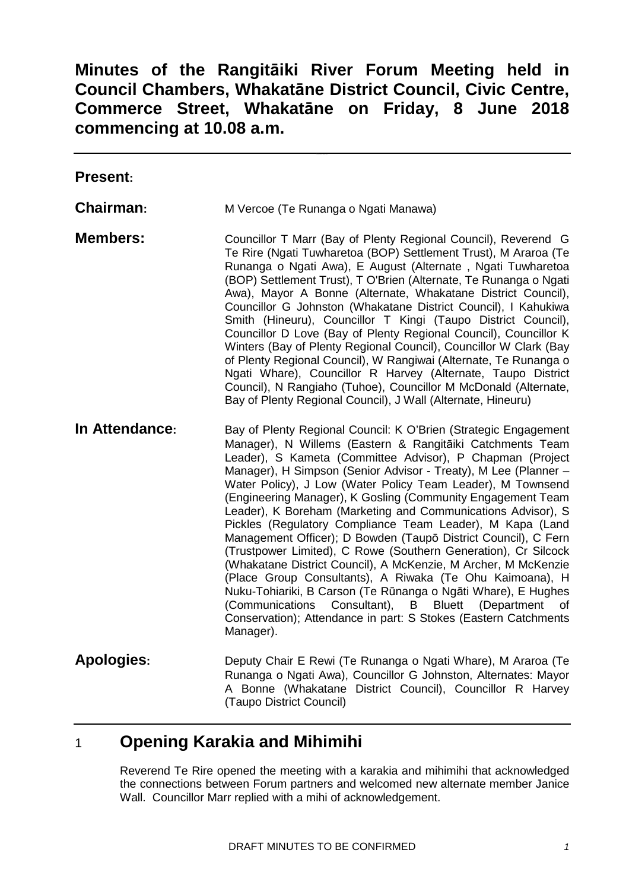# **Minutes of the Rangitāiki River Forum Meeting held in Council Chambers, Whakatāne District Council, Civic Centre, Commerce Street, Whakatāne on Friday, 8 June 2018 commencing at 10.08 a.m.**

| <b>Present:</b>   |                                                                                                                                                                                                                                                                                                                                                                                                                                                                                                                                                                                                                                                                                                                                                                                                                                                                                                                                                                                                                          |
|-------------------|--------------------------------------------------------------------------------------------------------------------------------------------------------------------------------------------------------------------------------------------------------------------------------------------------------------------------------------------------------------------------------------------------------------------------------------------------------------------------------------------------------------------------------------------------------------------------------------------------------------------------------------------------------------------------------------------------------------------------------------------------------------------------------------------------------------------------------------------------------------------------------------------------------------------------------------------------------------------------------------------------------------------------|
| Chairman:         | M Vercoe (Te Runanga o Ngati Manawa)                                                                                                                                                                                                                                                                                                                                                                                                                                                                                                                                                                                                                                                                                                                                                                                                                                                                                                                                                                                     |
| <b>Members:</b>   | Councillor T Marr (Bay of Plenty Regional Council), Reverend G<br>Te Rire (Ngati Tuwharetoa (BOP) Settlement Trust), M Araroa (Te<br>Runanga o Ngati Awa), E August (Alternate, Ngati Tuwharetoa<br>(BOP) Settlement Trust), T O'Brien (Alternate, Te Runanga o Ngati<br>Awa), Mayor A Bonne (Alternate, Whakatane District Council),<br>Councillor G Johnston (Whakatane District Council), I Kahukiwa<br>Smith (Hineuru), Councillor T Kingi (Taupo District Council),<br>Councillor D Love (Bay of Plenty Regional Council), Councillor K<br>Winters (Bay of Plenty Regional Council), Councillor W Clark (Bay<br>of Plenty Regional Council), W Rangiwai (Alternate, Te Runanga o<br>Ngati Whare), Councillor R Harvey (Alternate, Taupo District<br>Council), N Rangiaho (Tuhoe), Councillor M McDonald (Alternate,<br>Bay of Plenty Regional Council), J Wall (Alternate, Hineuru)                                                                                                                                 |
| In Attendance:    | Bay of Plenty Regional Council: K O'Brien (Strategic Engagement<br>Manager), N Willems (Eastern & Rangitāiki Catchments Team<br>Leader), S Kameta (Committee Advisor), P Chapman (Project<br>Manager), H Simpson (Senior Advisor - Treaty), M Lee (Planner -<br>Water Policy), J Low (Water Policy Team Leader), M Townsend<br>(Engineering Manager), K Gosling (Community Engagement Team<br>Leader), K Boreham (Marketing and Communications Advisor), S<br>Pickles (Regulatory Compliance Team Leader), M Kapa (Land<br>Management Officer); D Bowden (Taupō District Council), C Fern<br>(Trustpower Limited), C Rowe (Southern Generation), Cr Silcock<br>(Whakatane District Council), A McKenzie, M Archer, M McKenzie<br>(Place Group Consultants), A Riwaka (Te Ohu Kaimoana), H<br>Nuku-Tohiariki, B Carson (Te Rūnanga o Ngāti Whare), E Hughes<br>Consultant),<br><b>Bluett</b><br>(Department<br>(Communications<br>B<br>οf<br>Conservation); Attendance in part: S Stokes (Eastern Catchments<br>Manager). |
| <b>Apologies:</b> | Deputy Chair E Rewi (Te Runanga o Ngati Whare), M Araroa (Te<br>Runanga o Ngati Awa), Councillor G Johnston, Alternates: Mayor<br>A Bonne (Whakatane District Council), Councillor R Harvey<br>(Taupo District Council)                                                                                                                                                                                                                                                                                                                                                                                                                                                                                                                                                                                                                                                                                                                                                                                                  |

# 1 **Opening Karakia and Mihimihi**

Reverend Te Rire opened the meeting with a karakia and mihimihi that acknowledged the connections between Forum partners and welcomed new alternate member Janice Wall. Councillor Marr replied with a mihi of acknowledgement.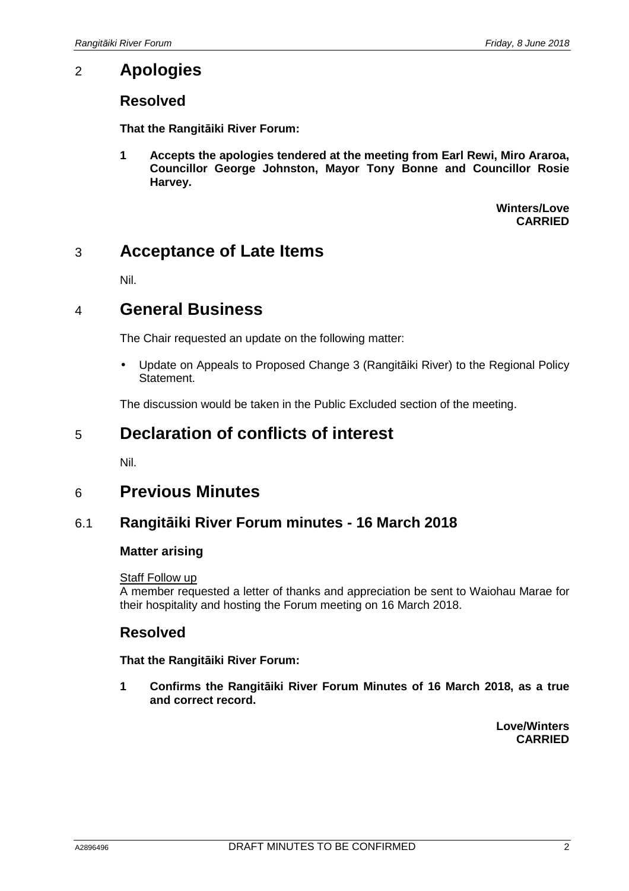# 2 **Apologies**

## **Resolved**

**That the Rangitāiki River Forum:** 

**1 Accepts the apologies tendered at the meeting from Earl Rewi, Miro Araroa, Councillor George Johnston, Mayor Tony Bonne and Councillor Rosie Harvey.** 

> **Winters/Love CARRIED**

# 3 **Acceptance of Late Items**

Nil.

# 4 **General Business**

The Chair requested an update on the following matter:

• Update on Appeals to Proposed Change 3 (Rangitāiki River) to the Regional Policy Statement.

The discussion would be taken in the Public Excluded section of the meeting.

# 5 **Declaration of conflicts of interest**

Nil.

# 6 **Previous Minutes**

## 6.1 **Rangitāiki River Forum minutes - 16 March 2018**

### **Matter arising**

#### **Staff Follow up**

A member requested a letter of thanks and appreciation be sent to Waiohau Marae for their hospitality and hosting the Forum meeting on 16 March 2018.

## **Resolved**

#### **That the Rangitāiki River Forum:**

**1 Confirms the Rangitāiki River Forum Minutes of 16 March 2018, as a true and correct record.** 

> **Love/Winters CARRIED**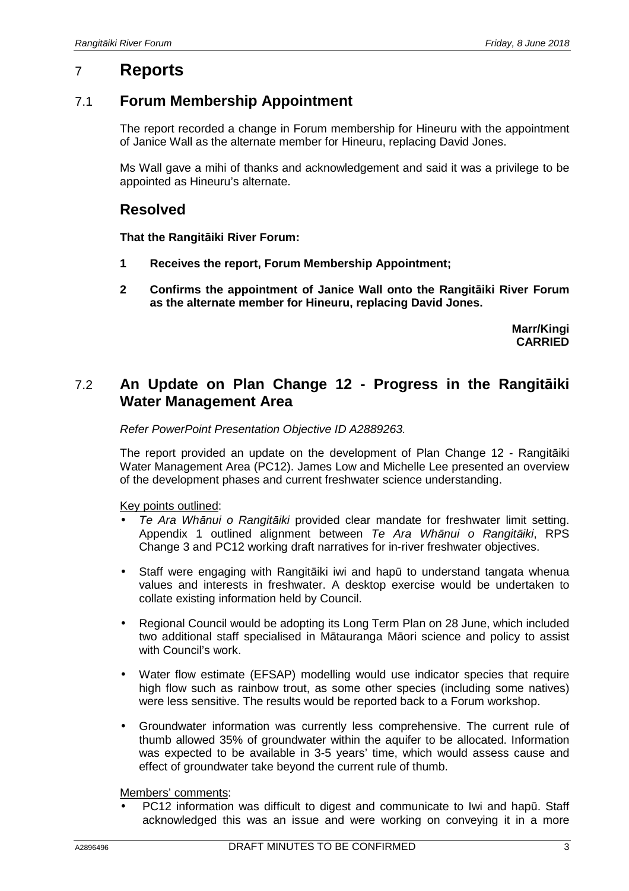# 7 **Reports**

## 7.1 **Forum Membership Appointment**

The report recorded a change in Forum membership for Hineuru with the appointment of Janice Wall as the alternate member for Hineuru, replacing David Jones.

Ms Wall gave a mihi of thanks and acknowledgement and said it was a privilege to be appointed as Hineuru's alternate.

## **Resolved**

**That the Rangitāiki River Forum:** 

- **1 Receives the report, Forum Membership Appointment;**
- **2 Confirms the appointment of Janice Wall onto the Rangitāiki River Forum as the alternate member for Hineuru, replacing David Jones.**

**Marr/Kingi CARRIED**

## 7.2 **An Update on Plan Change 12 - Progress in the Rangitāiki Water Management Area**

#### Refer PowerPoint Presentation Objective ID A2889263.

The report provided an update on the development of Plan Change 12 - Rangitāiki Water Management Area (PC12). James Low and Michelle Lee presented an overview of the development phases and current freshwater science understanding.

Key points outlined:

- Te Ara Wh*ā*nui o Rangit*ā*iki provided clear mandate for freshwater limit setting. Appendix 1 outlined alignment between Te Ara Wh*ā*nui o Rangit*ā*iki, RPS Change 3 and PC12 working draft narratives for in-river freshwater objectives.
- Staff were engaging with Rangitāiki iwi and hapū to understand tangata whenua values and interests in freshwater. A desktop exercise would be undertaken to collate existing information held by Council.
- Regional Council would be adopting its Long Term Plan on 28 June, which included two additional staff specialised in Mātauranga Māori science and policy to assist with Council's work.
- Water flow estimate (EFSAP) modelling would use indicator species that require high flow such as rainbow trout, as some other species (including some natives) were less sensitive. The results would be reported back to a Forum workshop.
- Groundwater information was currently less comprehensive. The current rule of thumb allowed 35% of groundwater within the aquifer to be allocated. Information was expected to be available in 3-5 years' time, which would assess cause and effect of groundwater take beyond the current rule of thumb.

Members' comments:

• PC12 information was difficult to digest and communicate to Iwi and hapū. Staff acknowledged this was an issue and were working on conveying it in a more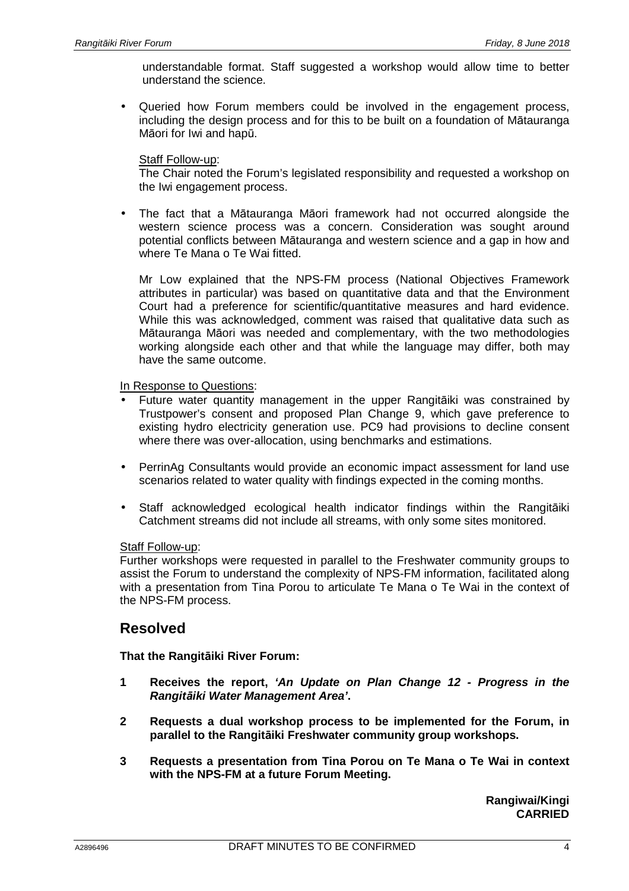understandable format. Staff suggested a workshop would allow time to better understand the science.

• Queried how Forum members could be involved in the engagement process, including the design process and for this to be built on a foundation of Mātauranga Māori for Iwi and hapū.

#### Staff Follow-up:

The Chair noted the Forum's legislated responsibility and requested a workshop on the Iwi engagement process.

• The fact that a Mātauranga Māori framework had not occurred alongside the western science process was a concern. Consideration was sought around potential conflicts between Mātauranga and western science and a gap in how and where Te Mana o Te Wai fitted.

Mr Low explained that the NPS-FM process (National Objectives Framework attributes in particular) was based on quantitative data and that the Environment Court had a preference for scientific/quantitative measures and hard evidence. While this was acknowledged, comment was raised that qualitative data such as Mātauranga Māori was needed and complementary, with the two methodologies working alongside each other and that while the language may differ, both may have the same outcome.

In Response to Questions:

- Future water quantity management in the upper Rangitāiki was constrained by Trustpower's consent and proposed Plan Change 9, which gave preference to existing hydro electricity generation use. PC9 had provisions to decline consent where there was over-allocation, using benchmarks and estimations.
- PerrinAg Consultants would provide an economic impact assessment for land use scenarios related to water quality with findings expected in the coming months.
- Staff acknowledged ecological health indicator findings within the Rangitāiki Catchment streams did not include all streams, with only some sites monitored.

#### Staff Follow-up:

Further workshops were requested in parallel to the Freshwater community groups to assist the Forum to understand the complexity of NPS-FM information, facilitated along with a presentation from Tina Porou to articulate Te Mana o Te Wai in the context of the NPS-FM process.

## **Resolved**

**That the Rangitāiki River Forum:** 

- **1 Receives the report, 'An Update on Plan Change 12 Progress in the Rangit***ā***iki Water Management Area'.**
- **2 Requests a dual workshop process to be implemented for the Forum, in parallel to the Rangitāiki Freshwater community group workshops.**
- **3 Requests a presentation from Tina Porou on Te Mana o Te Wai in context with the NPS-FM at a future Forum Meeting.**

**Rangiwai/Kingi CARRIED**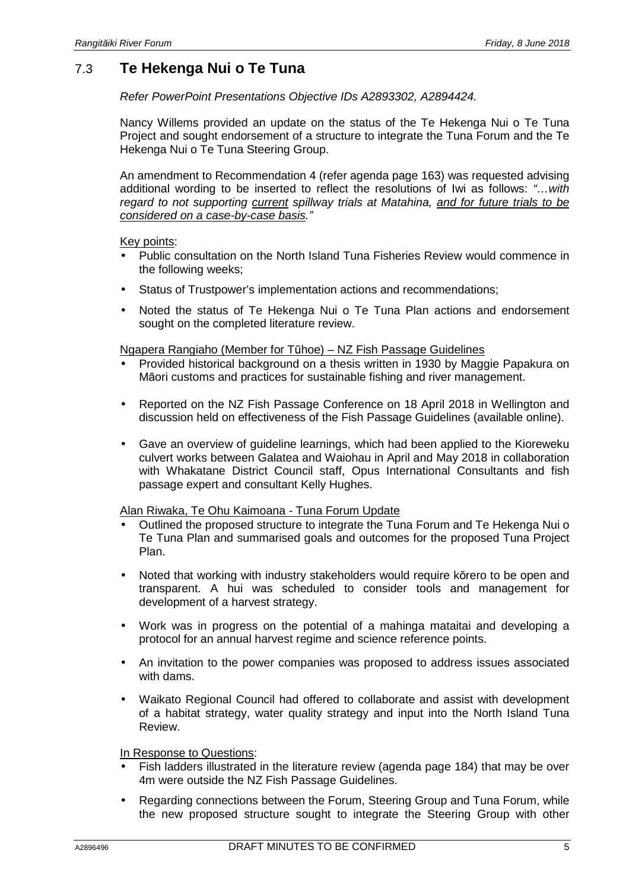# 7.3 **Te Hekenga Nui o Te Tuna**

Refer PowerPoint Presentations Objective IDs A2893302, A2894424.

Nancy Willems provided an update on the status of the Te Hekenga Nui o Te Tuna Project and sought endorsement of a structure to integrate the Tuna Forum and the Te Hekenga Nui o Te Tuna Steering Group.

An amendment to Recommendation 4 (refer agenda page 163) was requested advising additional wording to be inserted to reflect the resolutions of Iwi as follows: "…with regard to not supporting current spillway trials at Matahina, and for future trials to be considered on a case-by-case basis."

#### Key points:

- Public consultation on the North Island Tuna Fisheries Review would commence in the following weeks;
- Status of Trustpower's implementation actions and recommendations;
- Noted the status of Te Hekenga Nui o Te Tuna Plan actions and endorsement sought on the completed literature review.

#### Ngapera Rangiaho (Member for Tūhoe) – NZ Fish Passage Guidelines

- Provided historical background on a thesis written in 1930 by Maggie Papakura on Māori customs and practices for sustainable fishing and river management.
- Reported on the NZ Fish Passage Conference on 18 April 2018 in Wellington and discussion held on effectiveness of the Fish Passage Guidelines (available online).
- Gave an overview of guideline learnings, which had been applied to the Kioreweku culvert works between Galatea and Waiohau in April and May 2018 in collaboration with Whakatane District Council staff, Opus International Consultants and fish passage expert and consultant Kelly Hughes.

#### Alan Riwaka, Te Ohu Kaimoana - Tuna Forum Update

- Outlined the proposed structure to integrate the Tuna Forum and Te Hekenga Nui o Te Tuna Plan and summarised goals and outcomes for the proposed Tuna Project Plan.
- Noted that working with industry stakeholders would require kōrero to be open and transparent. A hui was scheduled to consider tools and management for development of a harvest strategy.
- Work was in progress on the potential of a mahinga mataitai and developing a protocol for an annual harvest regime and science reference points.
- An invitation to the power companies was proposed to address issues associated with dams.
- Waikato Regional Council had offered to collaborate and assist with development of a habitat strategy, water quality strategy and input into the North Island Tuna Review.

#### In Response to Questions:

- Fish ladders illustrated in the literature review (agenda page 184) that may be over 4m were outside the NZ Fish Passage Guidelines.
- Regarding connections between the Forum, Steering Group and Tuna Forum, while the new proposed structure sought to integrate the Steering Group with other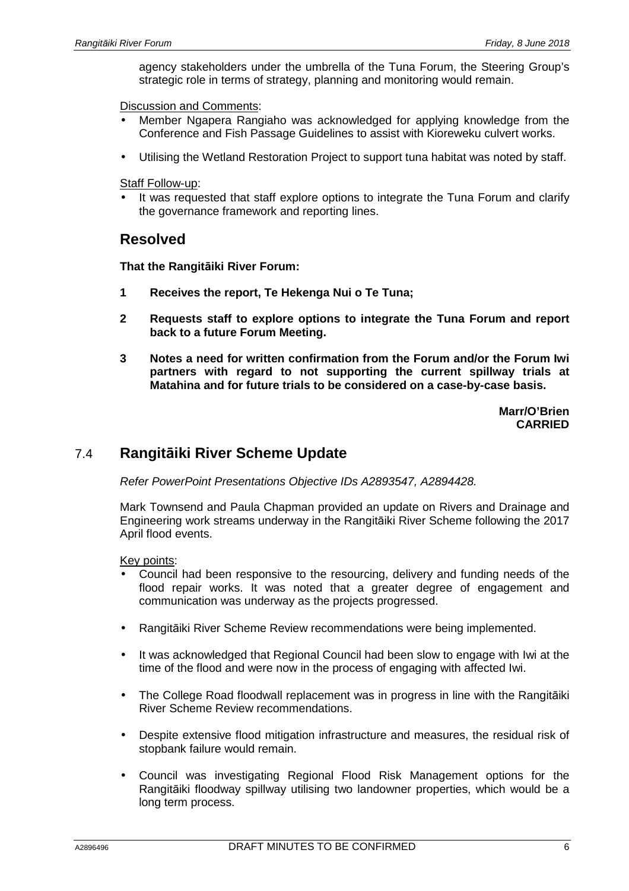agency stakeholders under the umbrella of the Tuna Forum, the Steering Group's strategic role in terms of strategy, planning and monitoring would remain.

Discussion and Comments:

- Member Ngapera Rangiaho was acknowledged for applying knowledge from the Conference and Fish Passage Guidelines to assist with Kioreweku culvert works.
- Utilising the Wetland Restoration Project to support tuna habitat was noted by staff.

**Staff Follow-up:** 

It was requested that staff explore options to integrate the Tuna Forum and clarify the governance framework and reporting lines.

## **Resolved**

**That the Rangitāiki River Forum:** 

- **1 Receives the report, Te Hekenga Nui o Te Tuna;**
- **2 Requests staff to explore options to integrate the Tuna Forum and report back to a future Forum Meeting.**
- **3 Notes a need for written confirmation from the Forum and/or the Forum Iwi partners with regard to not supporting the current spillway trials at Matahina and for future trials to be considered on a case-by-case basis.**

**Marr/O'Brien CARRIED**

## 7.4 **Rangitāiki River Scheme Update**

Refer PowerPoint Presentations Objective IDs A2893547, A2894428.

Mark Townsend and Paula Chapman provided an update on Rivers and Drainage and Engineering work streams underway in the Rangitāiki River Scheme following the 2017 April flood events.

Key points:

- Council had been responsive to the resourcing, delivery and funding needs of the flood repair works. It was noted that a greater degree of engagement and communication was underway as the projects progressed.
- Rangitāiki River Scheme Review recommendations were being implemented.
- It was acknowledged that Regional Council had been slow to engage with Iwi at the time of the flood and were now in the process of engaging with affected Iwi.
- The College Road floodwall replacement was in progress in line with the Rangitāiki River Scheme Review recommendations.
- Despite extensive flood mitigation infrastructure and measures, the residual risk of stopbank failure would remain.
- Council was investigating Regional Flood Risk Management options for the Rangitāiki floodway spillway utilising two landowner properties, which would be a long term process.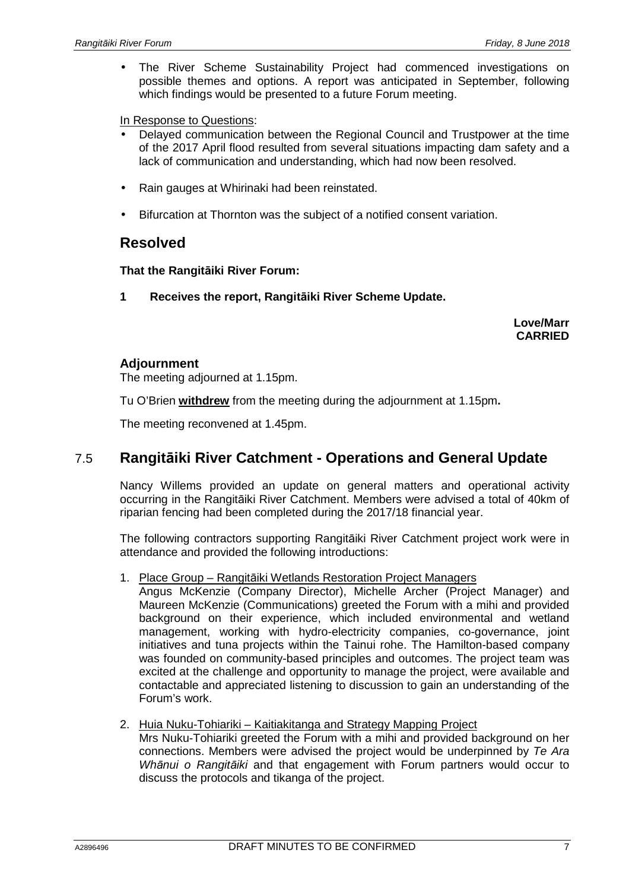• The River Scheme Sustainability Project had commenced investigations on possible themes and options. A report was anticipated in September, following which findings would be presented to a future Forum meeting.

#### In Response to Questions:

- Delayed communication between the Regional Council and Trustpower at the time of the 2017 April flood resulted from several situations impacting dam safety and a lack of communication and understanding, which had now been resolved.
- Rain gauges at Whirinaki had been reinstated.
- Bifurcation at Thornton was the subject of a notified consent variation.

### **Resolved**

#### **That the Rangitāiki River Forum:**

**1 Receives the report, Rangitāiki River Scheme Update.** 

**Love/Marr CARRIED**

#### **Adjournment**

The meeting adjourned at 1.15pm.

Tu O'Brien **withdrew** from the meeting during the adjournment at 1.15pm**.** 

The meeting reconvened at 1.45pm.

## 7.5 **Rangitāiki River Catchment - Operations and General Update**

Nancy Willems provided an update on general matters and operational activity occurring in the Rangitāiki River Catchment. Members were advised a total of 40km of riparian fencing had been completed during the 2017/18 financial year.

The following contractors supporting Rangitāiki River Catchment project work were in attendance and provided the following introductions:

1. Place Group – Rangitāiki Wetlands Restoration Project Managers

Angus McKenzie (Company Director), Michelle Archer (Project Manager) and Maureen McKenzie (Communications) greeted the Forum with a mihi and provided background on their experience, which included environmental and wetland management, working with hydro-electricity companies, co-governance, joint initiatives and tuna projects within the Tainui rohe. The Hamilton-based company was founded on community-based principles and outcomes. The project team was excited at the challenge and opportunity to manage the project, were available and contactable and appreciated listening to discussion to gain an understanding of the Forum's work.

2. Huia Nuku-Tohiariki – Kaitiakitanga and Strategy Mapping Project

Mrs Nuku-Tohiariki greeted the Forum with a mihi and provided background on her connections. Members were advised the project would be underpinned by Te Ara Wh*ā*nui o Rangit*ā*iki and that engagement with Forum partners would occur to discuss the protocols and tikanga of the project.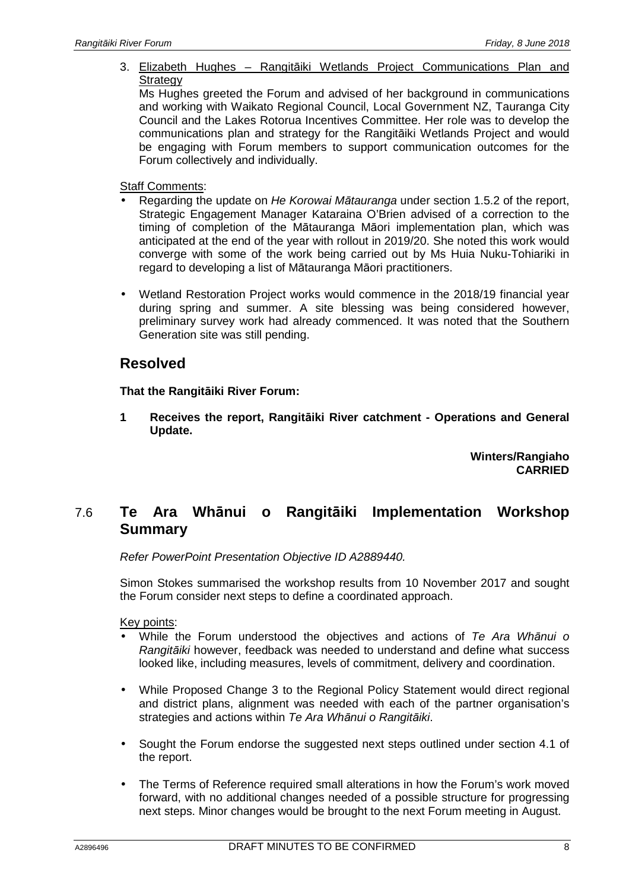3. Elizabeth Hughes – Rangitāiki Wetlands Project Communications Plan and **Strategy** 

Ms Hughes greeted the Forum and advised of her background in communications and working with Waikato Regional Council, Local Government NZ, Tauranga City Council and the Lakes Rotorua Incentives Committee. Her role was to develop the communications plan and strategy for the Rangitāiki Wetlands Project and would be engaging with Forum members to support communication outcomes for the Forum collectively and individually.

#### Staff Comments:

- Regarding the update on He Korowai M*ā*tauranga under section 1.5.2 of the report, Strategic Engagement Manager Kataraina O'Brien advised of a correction to the timing of completion of the Mātauranga Māori implementation plan, which was anticipated at the end of the year with rollout in 2019/20. She noted this work would converge with some of the work being carried out by Ms Huia Nuku-Tohiariki in regard to developing a list of Mātauranga Māori practitioners.
- Wetland Restoration Project works would commence in the 2018/19 financial year during spring and summer. A site blessing was being considered however, preliminary survey work had already commenced. It was noted that the Southern Generation site was still pending.

### **Resolved**

#### **That the Rangitāiki River Forum:**

**1 Receives the report, Rangitāiki River catchment - Operations and General Update.** 

> **Winters/Rangiaho CARRIED**

## 7.6 **Te Ara Whānui o Rangitāiki Implementation Workshop Summary**

Refer PowerPoint Presentation Objective ID A2889440.

Simon Stokes summarised the workshop results from 10 November 2017 and sought the Forum consider next steps to define a coordinated approach.

Key points:

- While the Forum understood the objectives and actions of Te Ara Wh*ā*nui o Rangit*ā*iki however, feedback was needed to understand and define what success looked like, including measures, levels of commitment, delivery and coordination.
- While Proposed Change 3 to the Regional Policy Statement would direct regional and district plans, alignment was needed with each of the partner organisation's strategies and actions within Te Ara Wh*ā*nui o Rangit*ā*iki.
- Sought the Forum endorse the suggested next steps outlined under section 4.1 of the report.
- The Terms of Reference required small alterations in how the Forum's work moved forward, with no additional changes needed of a possible structure for progressing next steps. Minor changes would be brought to the next Forum meeting in August.